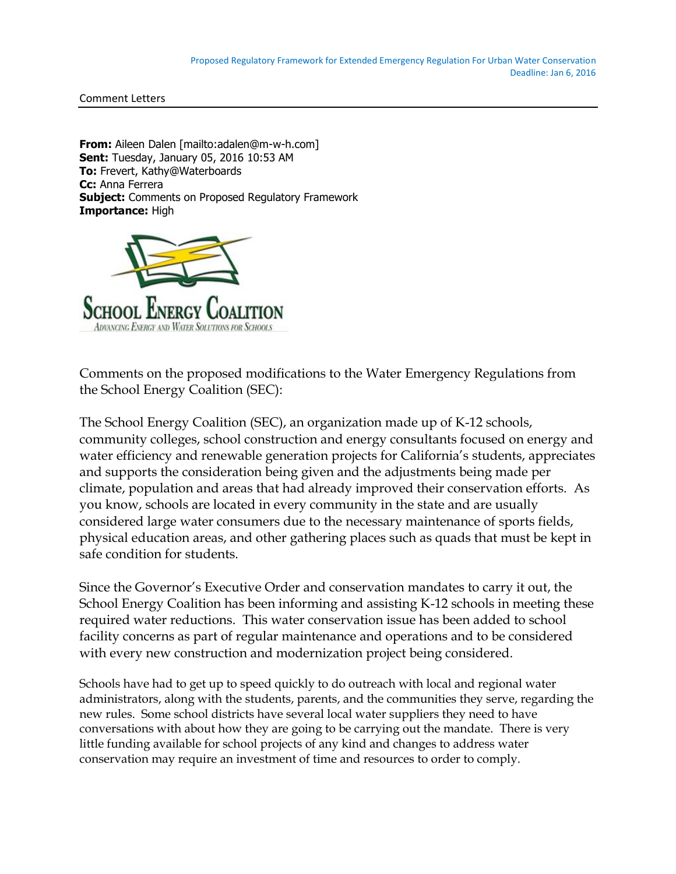Comment Letters

**From:** Aileen Dalen [mailto:adalen@m-w-h.com] **Sent:** Tuesday, January 05, 2016 10:53 AM **To:** Frevert, Kathy@Waterboards **Cc:** Anna Ferrera **Subject:** Comments on Proposed Regulatory Framework **Importance:** High



Comments on the proposed modifications to the Water Emergency Regulations from the School Energy Coalition (SEC):

The School Energy Coalition (SEC), an organization made up of K-12 schools, community colleges, school construction and energy consultants focused on energy and water efficiency and renewable generation projects for California's students, appreciates and supports the consideration being given and the adjustments being made per climate, population and areas that had already improved their conservation efforts. As you know, schools are located in every community in the state and are usually considered large water consumers due to the necessary maintenance of sports fields, physical education areas, and other gathering places such as quads that must be kept in safe condition for students.

Since the Governor's Executive Order and conservation mandates to carry it out, the School Energy Coalition has been informing and assisting K-12 schools in meeting these required water reductions. This water conservation issue has been added to school facility concerns as part of regular maintenance and operations and to be considered with every new construction and modernization project being considered.

Schools have had to get up to speed quickly to do outreach with local and regional water administrators, along with the students, parents, and the communities they serve, regarding the new rules. Some school districts have several local water suppliers they need to have conversations with about how they are going to be carrying out the mandate. There is very little funding available for school projects of any kind and changes to address water conservation may require an investment of time and resources to order to comply.